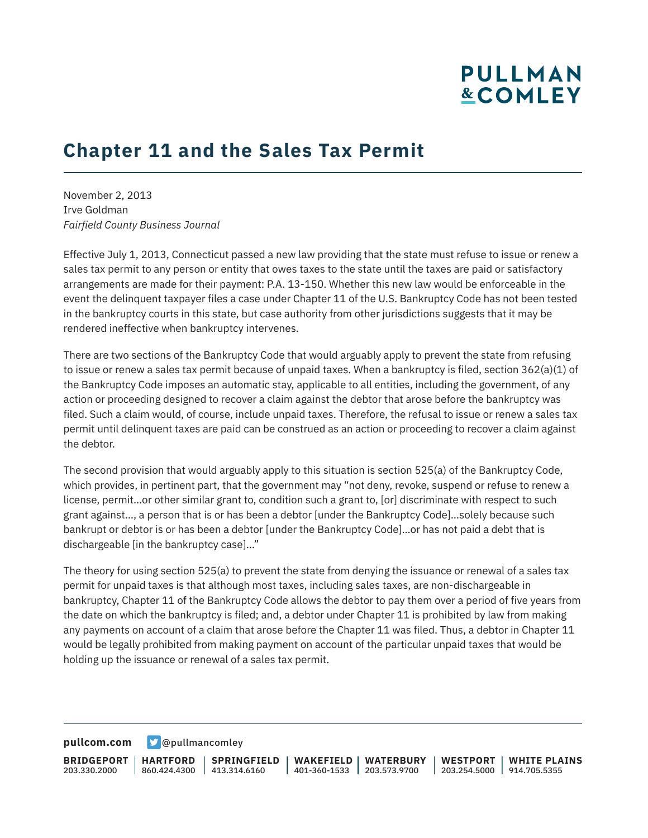# **PULLMAN &COMLEY**

## **Chapter 11 and the Sales Tax Permit**

November 2, 2013 Irve Goldman *Fairfield County Business Journal*

Effective July 1, 2013, Connecticut passed a new law providing that the state must refuse to issue or renew a sales tax permit to any person or entity that owes taxes to the state until the taxes are paid or satisfactory arrangements are made for their payment: P.A. 13-150. Whether this new law would be enforceable in the event the delinquent taxpayer files a case under Chapter 11 of the U.S. Bankruptcy Code has not been tested in the bankruptcy courts in this state, but case authority from other jurisdictions suggests that it may be rendered ineffective when bankruptcy intervenes.

There are two sections of the Bankruptcy Code that would arguably apply to prevent the state from refusing to issue or renew a sales tax permit because of unpaid taxes. When a bankruptcy is filed, section 362(a)(1) of the Bankruptcy Code imposes an automatic stay, applicable to all entities, including the government, of any action or proceeding designed to recover a claim against the debtor that arose before the bankruptcy was filed. Such a claim would, of course, include unpaid taxes. Therefore, the refusal to issue or renew a sales tax permit until delinquent taxes are paid can be construed as an action or proceeding to recover a claim against the debtor.

The second provision that would arguably apply to this situation is section 525(a) of the Bankruptcy Code, which provides, in pertinent part, that the government may "not deny, revoke, suspend or refuse to renew a license, permit…or other similar grant to, condition such a grant to, [or] discriminate with respect to such grant against…, a person that is or has been a debtor [under the Bankruptcy Code]…solely because such bankrupt or debtor is or has been a debtor [under the Bankruptcy Code]…or has not paid a debt that is dischargeable [in the bankruptcy case]…"

The theory for using section 525(a) to prevent the state from denying the issuance or renewal of a sales tax permit for unpaid taxes is that although most taxes, including sales taxes, are non-dischargeable in bankruptcy, Chapter 11 of the Bankruptcy Code allows the debtor to pay them over a period of five years from the date on which the bankruptcy is filed; and, a debtor under Chapter 11 is prohibited by law from making any payments on account of a claim that arose before the Chapter 11 was filed. Thus, a debtor in Chapter 11 would be legally prohibited from making payment on account of the particular unpaid taxes that would be holding up the issuance or renewal of a sales tax permit.

**[pullcom.com](https://www.pullcom.com) g** [@pullmancomley](https://twitter.com/PullmanComley)

**BRIDGEPORT** 203.330.2000 **HARTFORD** 860.424.4300 413.314.6160 **SPRINGFIELD WAKEFIELD WATERBURY** 401-360-1533 203.573.9700 **WESTPORT WHITE PLAINS** 203.254.5000 914.705.5355